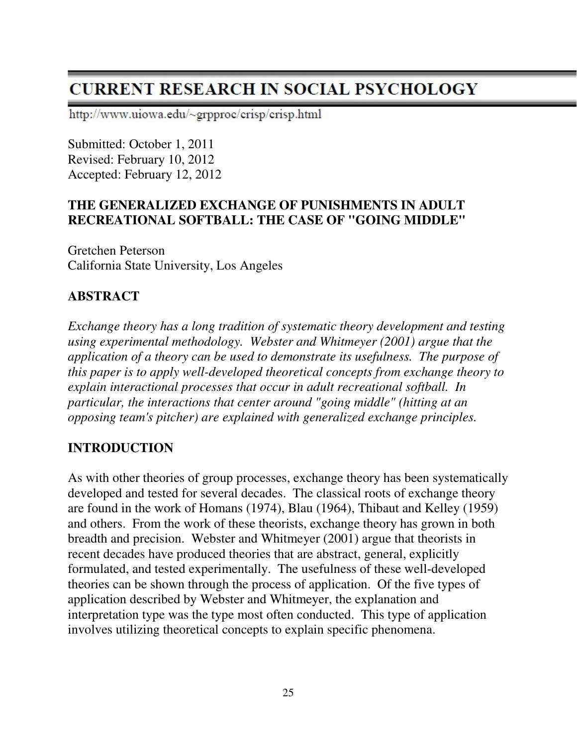# **CURRENT RESEARCH IN SOCIAL PSYCHOLOGY**

http://www.uiowa.edu/~grpproc/crisp/crisp.html

Submitted: October 1, 2011 Revised: February 10, 2012 Accepted: February 12, 2012

#### **THE GENERALIZED EXCHANGE OF PUNISHMENTS IN ADULT RECREATIONAL SOFTBALL: THE CASE OF "GOING MIDDLE"**

Gretchen Peterson California State University, Los Angeles

### **ABSTRACT**

*Exchange theory has a long tradition of systematic theory development and testing using experimental methodology. Webster and Whitmeyer (2001) argue that the application of a theory can be used to demonstrate its usefulness. The purpose of this paper is to apply well-developed theoretical concepts from exchange theory to explain interactional processes that occur in adult recreational softball. In particular, the interactions that center around "going middle" (hitting at an opposing team's pitcher) are explained with generalized exchange principles.* 

### **INTRODUCTION**

As with other theories of group processes, exchange theory has been systematically developed and tested for several decades. The classical roots of exchange theory are found in the work of Homans (1974), Blau (1964), Thibaut and Kelley (1959) and others. From the work of these theorists, exchange theory has grown in both breadth and precision. Webster and Whitmeyer (2001) argue that theorists in recent decades have produced theories that are abstract, general, explicitly formulated, and tested experimentally. The usefulness of these well-developed theories can be shown through the process of application. Of the five types of application described by Webster and Whitmeyer, the explanation and interpretation type was the type most often conducted. This type of application involves utilizing theoretical concepts to explain specific phenomena.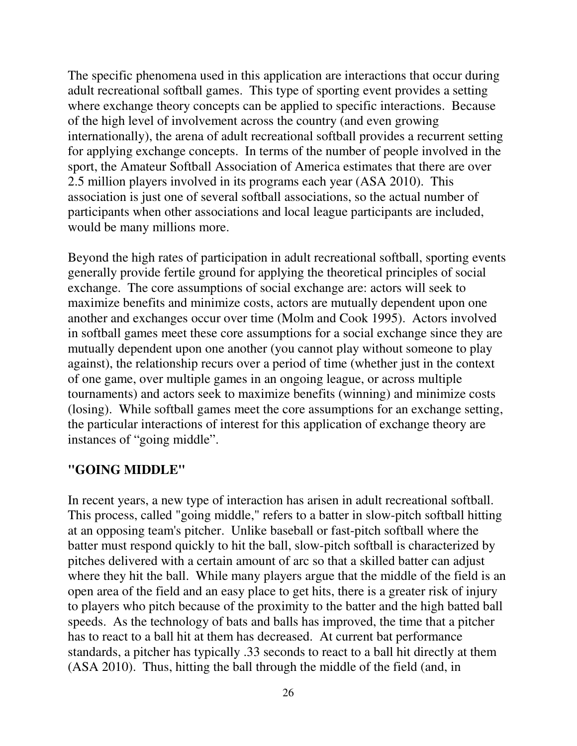The specific phenomena used in this application are interactions that occur during adult recreational softball games. This type of sporting event provides a setting where exchange theory concepts can be applied to specific interactions. Because of the high level of involvement across the country (and even growing internationally), the arena of adult recreational softball provides a recurrent setting for applying exchange concepts. In terms of the number of people involved in the sport, the Amateur Softball Association of America estimates that there are over 2.5 million players involved in its programs each year (ASA 2010). This association is just one of several softball associations, so the actual number of participants when other associations and local league participants are included, would be many millions more.

Beyond the high rates of participation in adult recreational softball, sporting events generally provide fertile ground for applying the theoretical principles of social exchange. The core assumptions of social exchange are: actors will seek to maximize benefits and minimize costs, actors are mutually dependent upon one another and exchanges occur over time (Molm and Cook 1995). Actors involved in softball games meet these core assumptions for a social exchange since they are mutually dependent upon one another (you cannot play without someone to play against), the relationship recurs over a period of time (whether just in the context of one game, over multiple games in an ongoing league, or across multiple tournaments) and actors seek to maximize benefits (winning) and minimize costs (losing). While softball games meet the core assumptions for an exchange setting, the particular interactions of interest for this application of exchange theory are instances of "going middle".

#### **"GOING MIDDLE"**

In recent years, a new type of interaction has arisen in adult recreational softball. This process, called "going middle," refers to a batter in slow-pitch softball hitting at an opposing team's pitcher. Unlike baseball or fast-pitch softball where the batter must respond quickly to hit the ball, slow-pitch softball is characterized by pitches delivered with a certain amount of arc so that a skilled batter can adjust where they hit the ball. While many players argue that the middle of the field is an open area of the field and an easy place to get hits, there is a greater risk of injury to players who pitch because of the proximity to the batter and the high batted ball speeds. As the technology of bats and balls has improved, the time that a pitcher has to react to a ball hit at them has decreased. At current bat performance standards, a pitcher has typically .33 seconds to react to a ball hit directly at them (ASA 2010). Thus, hitting the ball through the middle of the field (and, in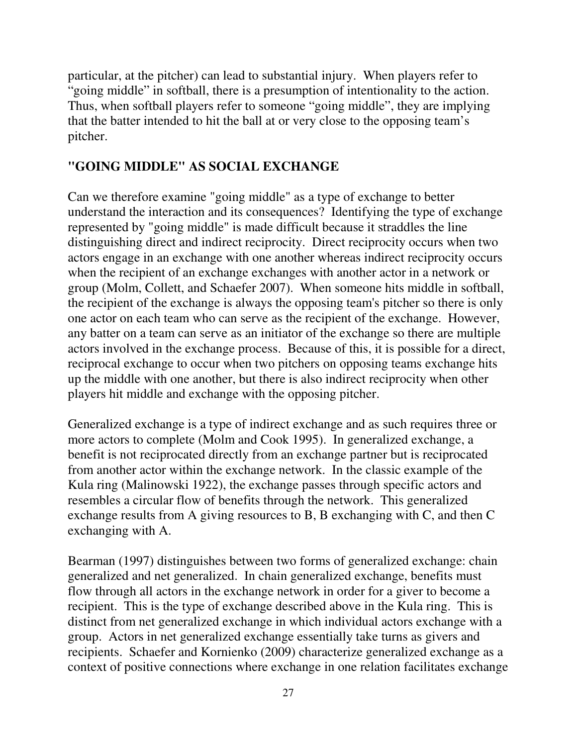particular, at the pitcher) can lead to substantial injury. When players refer to "going middle" in softball, there is a presumption of intentionality to the action. Thus, when softball players refer to someone "going middle", they are implying that the batter intended to hit the ball at or very close to the opposing team's pitcher.

### **"GOING MIDDLE" AS SOCIAL EXCHANGE**

Can we therefore examine "going middle" as a type of exchange to better understand the interaction and its consequences? Identifying the type of exchange represented by "going middle" is made difficult because it straddles the line distinguishing direct and indirect reciprocity. Direct reciprocity occurs when two actors engage in an exchange with one another whereas indirect reciprocity occurs when the recipient of an exchange exchanges with another actor in a network or group (Molm, Collett, and Schaefer 2007). When someone hits middle in softball, the recipient of the exchange is always the opposing team's pitcher so there is only one actor on each team who can serve as the recipient of the exchange. However, any batter on a team can serve as an initiator of the exchange so there are multiple actors involved in the exchange process. Because of this, it is possible for a direct, reciprocal exchange to occur when two pitchers on opposing teams exchange hits up the middle with one another, but there is also indirect reciprocity when other players hit middle and exchange with the opposing pitcher.

Generalized exchange is a type of indirect exchange and as such requires three or more actors to complete (Molm and Cook 1995). In generalized exchange, a benefit is not reciprocated directly from an exchange partner but is reciprocated from another actor within the exchange network. In the classic example of the Kula ring (Malinowski 1922), the exchange passes through specific actors and resembles a circular flow of benefits through the network. This generalized exchange results from A giving resources to B, B exchanging with C, and then C exchanging with A.

Bearman (1997) distinguishes between two forms of generalized exchange: chain generalized and net generalized. In chain generalized exchange, benefits must flow through all actors in the exchange network in order for a giver to become a recipient. This is the type of exchange described above in the Kula ring. This is distinct from net generalized exchange in which individual actors exchange with a group. Actors in net generalized exchange essentially take turns as givers and recipients. Schaefer and Kornienko (2009) characterize generalized exchange as a context of positive connections where exchange in one relation facilitates exchange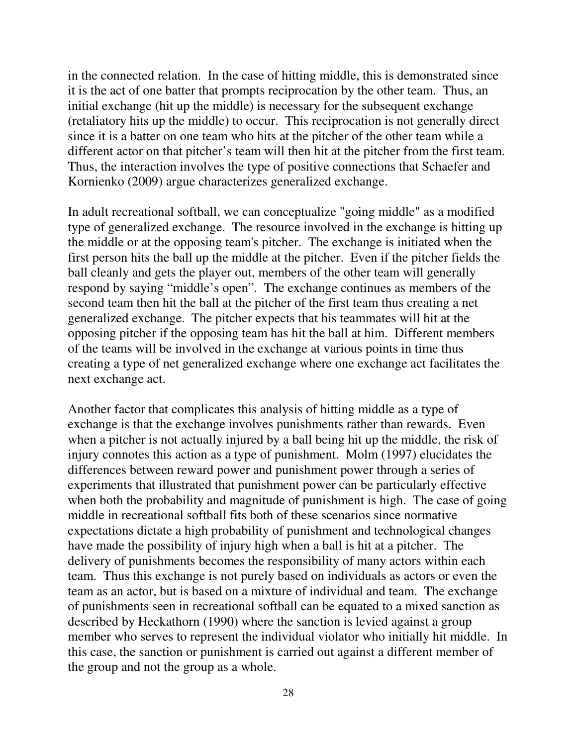in the connected relation. In the case of hitting middle, this is demonstrated since it is the act of one batter that prompts reciprocation by the other team. Thus, an initial exchange (hit up the middle) is necessary for the subsequent exchange (retaliatory hits up the middle) to occur. This reciprocation is not generally direct since it is a batter on one team who hits at the pitcher of the other team while a different actor on that pitcher's team will then hit at the pitcher from the first team. Thus, the interaction involves the type of positive connections that Schaefer and Kornienko (2009) argue characterizes generalized exchange.

In adult recreational softball, we can conceptualize "going middle" as a modified type of generalized exchange. The resource involved in the exchange is hitting up the middle or at the opposing team's pitcher. The exchange is initiated when the first person hits the ball up the middle at the pitcher. Even if the pitcher fields the ball cleanly and gets the player out, members of the other team will generally respond by saying "middle's open". The exchange continues as members of the second team then hit the ball at the pitcher of the first team thus creating a net generalized exchange. The pitcher expects that his teammates will hit at the opposing pitcher if the opposing team has hit the ball at him. Different members of the teams will be involved in the exchange at various points in time thus creating a type of net generalized exchange where one exchange act facilitates the next exchange act.

Another factor that complicates this analysis of hitting middle as a type of exchange is that the exchange involves punishments rather than rewards. Even when a pitcher is not actually injured by a ball being hit up the middle, the risk of injury connotes this action as a type of punishment. Molm (1997) elucidates the differences between reward power and punishment power through a series of experiments that illustrated that punishment power can be particularly effective when both the probability and magnitude of punishment is high. The case of going middle in recreational softball fits both of these scenarios since normative expectations dictate a high probability of punishment and technological changes have made the possibility of injury high when a ball is hit at a pitcher. The delivery of punishments becomes the responsibility of many actors within each team. Thus this exchange is not purely based on individuals as actors or even the team as an actor, but is based on a mixture of individual and team. The exchange of punishments seen in recreational softball can be equated to a mixed sanction as described by Heckathorn (1990) where the sanction is levied against a group member who serves to represent the individual violator who initially hit middle. In this case, the sanction or punishment is carried out against a different member of the group and not the group as a whole.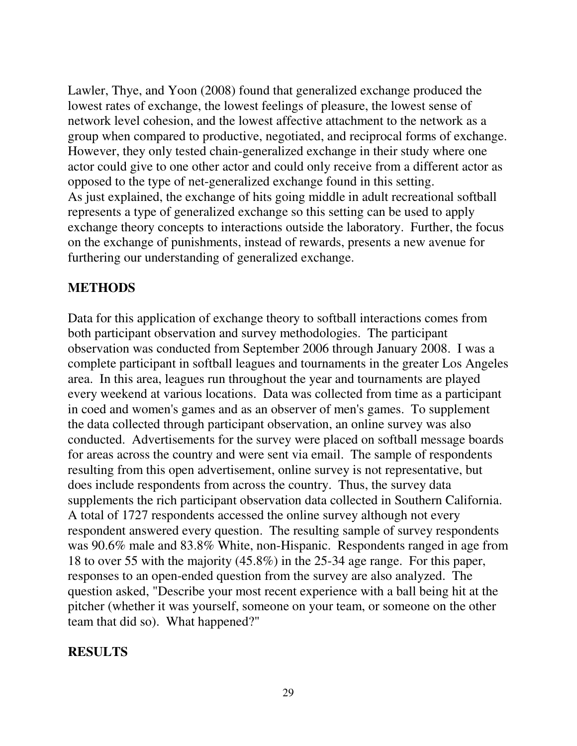Lawler, Thye, and Yoon (2008) found that generalized exchange produced the lowest rates of exchange, the lowest feelings of pleasure, the lowest sense of network level cohesion, and the lowest affective attachment to the network as a group when compared to productive, negotiated, and reciprocal forms of exchange. However, they only tested chain-generalized exchange in their study where one actor could give to one other actor and could only receive from a different actor as opposed to the type of net-generalized exchange found in this setting. As just explained, the exchange of hits going middle in adult recreational softball represents a type of generalized exchange so this setting can be used to apply exchange theory concepts to interactions outside the laboratory. Further, the focus on the exchange of punishments, instead of rewards, presents a new avenue for furthering our understanding of generalized exchange.

#### **METHODS**

Data for this application of exchange theory to softball interactions comes from both participant observation and survey methodologies. The participant observation was conducted from September 2006 through January 2008. I was a complete participant in softball leagues and tournaments in the greater Los Angeles area. In this area, leagues run throughout the year and tournaments are played every weekend at various locations. Data was collected from time as a participant in coed and women's games and as an observer of men's games. To supplement the data collected through participant observation, an online survey was also conducted. Advertisements for the survey were placed on softball message boards for areas across the country and were sent via email. The sample of respondents resulting from this open advertisement, online survey is not representative, but does include respondents from across the country. Thus, the survey data supplements the rich participant observation data collected in Southern California. A total of 1727 respondents accessed the online survey although not every respondent answered every question. The resulting sample of survey respondents was 90.6% male and 83.8% White, non-Hispanic. Respondents ranged in age from 18 to over 55 with the majority (45.8%) in the 25-34 age range. For this paper, responses to an open-ended question from the survey are also analyzed. The question asked, "Describe your most recent experience with a ball being hit at the pitcher (whether it was yourself, someone on your team, or someone on the other team that did so). What happened?"

### **RESULTS**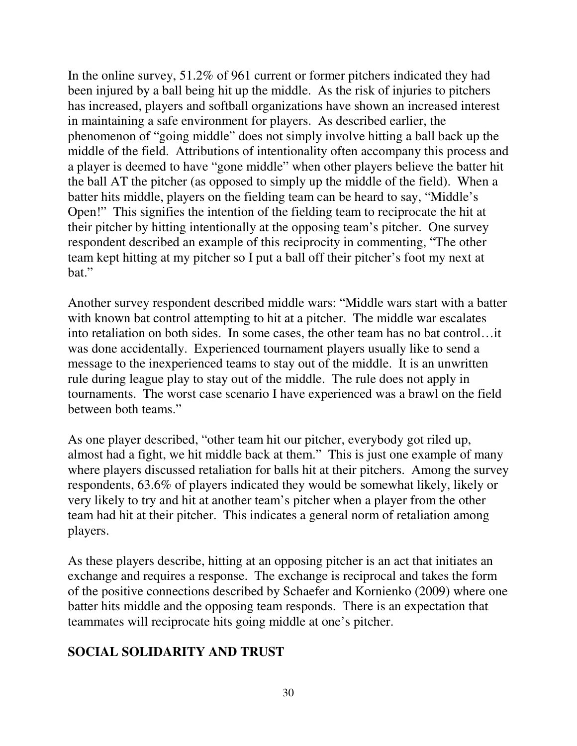In the online survey, 51.2% of 961 current or former pitchers indicated they had been injured by a ball being hit up the middle. As the risk of injuries to pitchers has increased, players and softball organizations have shown an increased interest in maintaining a safe environment for players. As described earlier, the phenomenon of "going middle" does not simply involve hitting a ball back up the middle of the field. Attributions of intentionality often accompany this process and a player is deemed to have "gone middle" when other players believe the batter hit the ball AT the pitcher (as opposed to simply up the middle of the field). When a batter hits middle, players on the fielding team can be heard to say, "Middle's Open!" This signifies the intention of the fielding team to reciprocate the hit at their pitcher by hitting intentionally at the opposing team's pitcher. One survey respondent described an example of this reciprocity in commenting, "The other team kept hitting at my pitcher so I put a ball off their pitcher's foot my next at bat."

Another survey respondent described middle wars: "Middle wars start with a batter with known bat control attempting to hit at a pitcher. The middle war escalates into retaliation on both sides. In some cases, the other team has no bat control…it was done accidentally. Experienced tournament players usually like to send a message to the inexperienced teams to stay out of the middle. It is an unwritten rule during league play to stay out of the middle. The rule does not apply in tournaments. The worst case scenario I have experienced was a brawl on the field between both teams."

As one player described, "other team hit our pitcher, everybody got riled up, almost had a fight, we hit middle back at them." This is just one example of many where players discussed retaliation for balls hit at their pitchers. Among the survey respondents, 63.6% of players indicated they would be somewhat likely, likely or very likely to try and hit at another team's pitcher when a player from the other team had hit at their pitcher. This indicates a general norm of retaliation among players.

As these players describe, hitting at an opposing pitcher is an act that initiates an exchange and requires a response. The exchange is reciprocal and takes the form of the positive connections described by Schaefer and Kornienko (2009) where one batter hits middle and the opposing team responds. There is an expectation that teammates will reciprocate hits going middle at one's pitcher.

# **SOCIAL SOLIDARITY AND TRUST**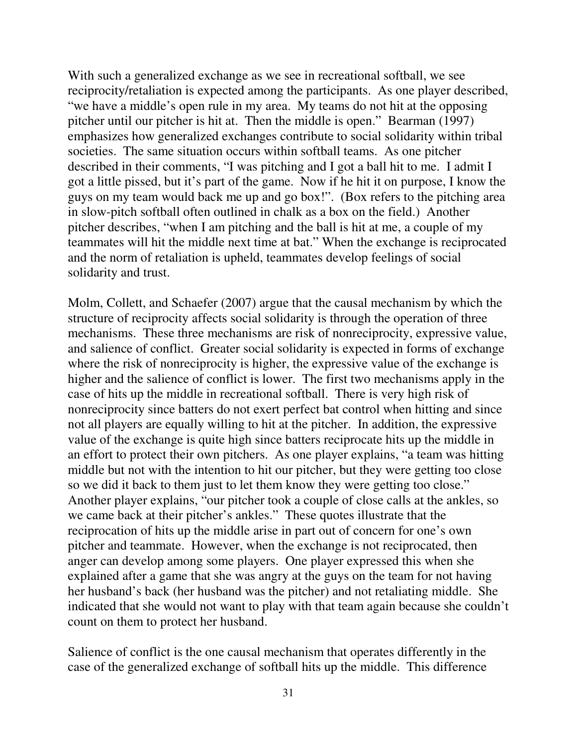With such a generalized exchange as we see in recreational softball, we see reciprocity/retaliation is expected among the participants. As one player described, "we have a middle's open rule in my area. My teams do not hit at the opposing pitcher until our pitcher is hit at. Then the middle is open." Bearman (1997) emphasizes how generalized exchanges contribute to social solidarity within tribal societies. The same situation occurs within softball teams. As one pitcher described in their comments, "I was pitching and I got a ball hit to me. I admit I got a little pissed, but it's part of the game. Now if he hit it on purpose, I know the guys on my team would back me up and go box!". (Box refers to the pitching area in slow-pitch softball often outlined in chalk as a box on the field.) Another pitcher describes, "when I am pitching and the ball is hit at me, a couple of my teammates will hit the middle next time at bat." When the exchange is reciprocated and the norm of retaliation is upheld, teammates develop feelings of social solidarity and trust.

Molm, Collett, and Schaefer (2007) argue that the causal mechanism by which the structure of reciprocity affects social solidarity is through the operation of three mechanisms. These three mechanisms are risk of nonreciprocity, expressive value, and salience of conflict. Greater social solidarity is expected in forms of exchange where the risk of nonreciprocity is higher, the expressive value of the exchange is higher and the salience of conflict is lower. The first two mechanisms apply in the case of hits up the middle in recreational softball. There is very high risk of nonreciprocity since batters do not exert perfect bat control when hitting and since not all players are equally willing to hit at the pitcher. In addition, the expressive value of the exchange is quite high since batters reciprocate hits up the middle in an effort to protect their own pitchers. As one player explains, "a team was hitting middle but not with the intention to hit our pitcher, but they were getting too close so we did it back to them just to let them know they were getting too close." Another player explains, "our pitcher took a couple of close calls at the ankles, so we came back at their pitcher's ankles." These quotes illustrate that the reciprocation of hits up the middle arise in part out of concern for one's own pitcher and teammate. However, when the exchange is not reciprocated, then anger can develop among some players. One player expressed this when she explained after a game that she was angry at the guys on the team for not having her husband's back (her husband was the pitcher) and not retaliating middle. She indicated that she would not want to play with that team again because she couldn't count on them to protect her husband.

Salience of conflict is the one causal mechanism that operates differently in the case of the generalized exchange of softball hits up the middle. This difference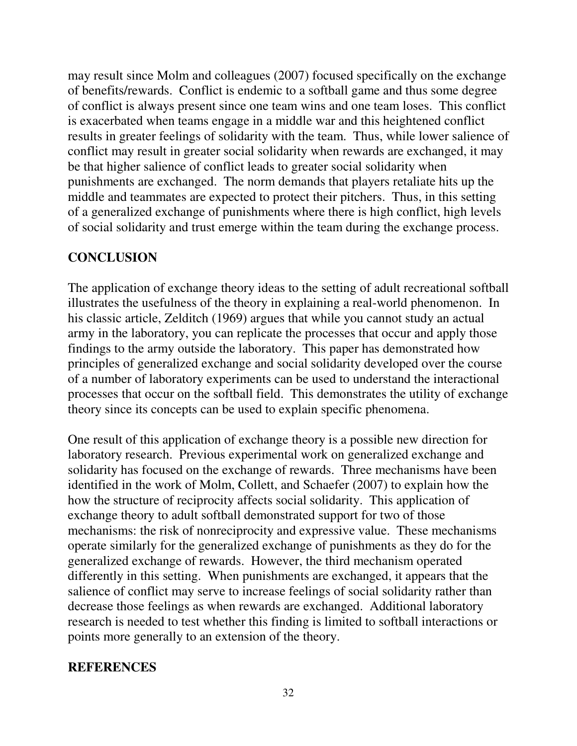may result since Molm and colleagues (2007) focused specifically on the exchange of benefits/rewards. Conflict is endemic to a softball game and thus some degree of conflict is always present since one team wins and one team loses. This conflict is exacerbated when teams engage in a middle war and this heightened conflict results in greater feelings of solidarity with the team. Thus, while lower salience of conflict may result in greater social solidarity when rewards are exchanged, it may be that higher salience of conflict leads to greater social solidarity when punishments are exchanged. The norm demands that players retaliate hits up the middle and teammates are expected to protect their pitchers. Thus, in this setting of a generalized exchange of punishments where there is high conflict, high levels of social solidarity and trust emerge within the team during the exchange process.

#### **CONCLUSION**

The application of exchange theory ideas to the setting of adult recreational softball illustrates the usefulness of the theory in explaining a real-world phenomenon. In his classic article, Zelditch (1969) argues that while you cannot study an actual army in the laboratory, you can replicate the processes that occur and apply those findings to the army outside the laboratory. This paper has demonstrated how principles of generalized exchange and social solidarity developed over the course of a number of laboratory experiments can be used to understand the interactional processes that occur on the softball field. This demonstrates the utility of exchange theory since its concepts can be used to explain specific phenomena.

One result of this application of exchange theory is a possible new direction for laboratory research. Previous experimental work on generalized exchange and solidarity has focused on the exchange of rewards. Three mechanisms have been identified in the work of Molm, Collett, and Schaefer (2007) to explain how the how the structure of reciprocity affects social solidarity. This application of exchange theory to adult softball demonstrated support for two of those mechanisms: the risk of nonreciprocity and expressive value. These mechanisms operate similarly for the generalized exchange of punishments as they do for the generalized exchange of rewards. However, the third mechanism operated differently in this setting. When punishments are exchanged, it appears that the salience of conflict may serve to increase feelings of social solidarity rather than decrease those feelings as when rewards are exchanged. Additional laboratory research is needed to test whether this finding is limited to softball interactions or points more generally to an extension of the theory.

#### **REFERENCES**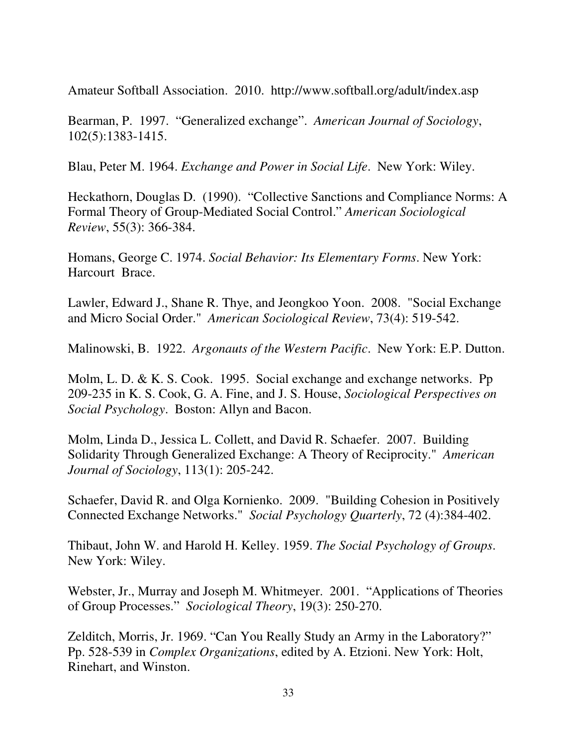Amateur Softball Association. 2010. http://www.softball.org/adult/index.asp

Bearman, P. 1997. "Generalized exchange". *American Journal of Sociology*, 102(5):1383-1415.

Blau, Peter M. 1964. *Exchange and Power in Social Life*. New York: Wiley.

Heckathorn, Douglas D. (1990). "Collective Sanctions and Compliance Norms: A Formal Theory of Group-Mediated Social Control." *American Sociological Review*, 55(3): 366-384.

Homans, George C. 1974. *Social Behavior: Its Elementary Forms*. New York: Harcourt Brace.

Lawler, Edward J., Shane R. Thye, and Jeongkoo Yoon. 2008. "Social Exchange and Micro Social Order." *American Sociological Review*, 73(4): 519-542.

Malinowski, B. 1922. *Argonauts of the Western Pacific*. New York: E.P. Dutton.

Molm, L. D. & K. S. Cook. 1995. Social exchange and exchange networks. Pp 209-235 in K. S. Cook, G. A. Fine, and J. S. House, *Sociological Perspectives on Social Psychology*. Boston: Allyn and Bacon.

Molm, Linda D., Jessica L. Collett, and David R. Schaefer. 2007. Building Solidarity Through Generalized Exchange: A Theory of Reciprocity." *American Journal of Sociology*, 113(1): 205-242.

Schaefer, David R. and Olga Kornienko. 2009. "Building Cohesion in Positively Connected Exchange Networks." *Social Psychology Quarterly*, 72 (4):384-402.

Thibaut, John W. and Harold H. Kelley. 1959. *The Social Psychology of Groups*. New York: Wiley.

Webster, Jr., Murray and Joseph M. Whitmeyer. 2001. "Applications of Theories of Group Processes." *Sociological Theory*, 19(3): 250-270.

Zelditch, Morris, Jr. 1969. "Can You Really Study an Army in the Laboratory?" Pp. 528-539 in *Complex Organizations*, edited by A. Etzioni. New York: Holt, Rinehart, and Winston.